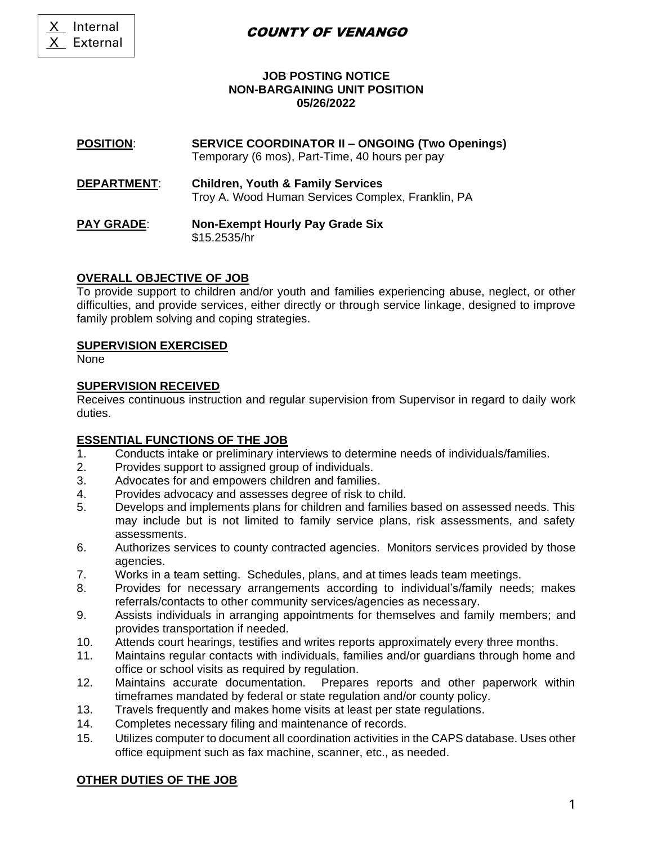X Internal

X External

### COUNTY OF VENANGO

### **JOB POSTING NOTICE NON-BARGAINING UNIT POSITION 05/26/2022**

#### **POSITION**: **SERVICE COORDINATOR II – ONGOING (Two Openings)** Temporary (6 mos), Part-Time, 40 hours per pay

- **DEPARTMENT**: **Children, Youth & Family Services** Troy A. Wood Human Services Complex, Franklin, PA
- **PAY GRADE**: **Non-Exempt Hourly Pay Grade Six** \$15.2535/hr

### **OVERALL OBJECTIVE OF JOB**

To provide support to children and/or youth and families experiencing abuse, neglect, or other difficulties, and provide services, either directly or through service linkage, designed to improve family problem solving and coping strategies.

### **SUPERVISION EXERCISED**

None

### **SUPERVISION RECEIVED**

Receives continuous instruction and regular supervision from Supervisor in regard to daily work duties.

### **ESSENTIAL FUNCTIONS OF THE JOB**

- 1. Conducts intake or preliminary interviews to determine needs of individuals/families.
- 2. Provides support to assigned group of individuals.
- 3. Advocates for and empowers children and families.
- 4. Provides advocacy and assesses degree of risk to child.
- 5. Develops and implements plans for children and families based on assessed needs. This may include but is not limited to family service plans, risk assessments, and safety assessments.
- 6. Authorizes services to county contracted agencies. Monitors services provided by those agencies.
- 7. Works in a team setting. Schedules, plans, and at times leads team meetings.
- 8. Provides for necessary arrangements according to individual's/family needs; makes referrals/contacts to other community services/agencies as necessary.
- 9. Assists individuals in arranging appointments for themselves and family members; and provides transportation if needed.
- 10. Attends court hearings, testifies and writes reports approximately every three months.
- 11. Maintains regular contacts with individuals, families and/or guardians through home and office or school visits as required by regulation.
- 12. Maintains accurate documentation. Prepares reports and other paperwork within timeframes mandated by federal or state regulation and/or county policy.
- 13. Travels frequently and makes home visits at least per state regulations.
- 14. Completes necessary filing and maintenance of records.
- 15. Utilizes computer to document all coordination activities in the CAPS database. Uses other office equipment such as fax machine, scanner, etc., as needed.

### **OTHER DUTIES OF THE JOB**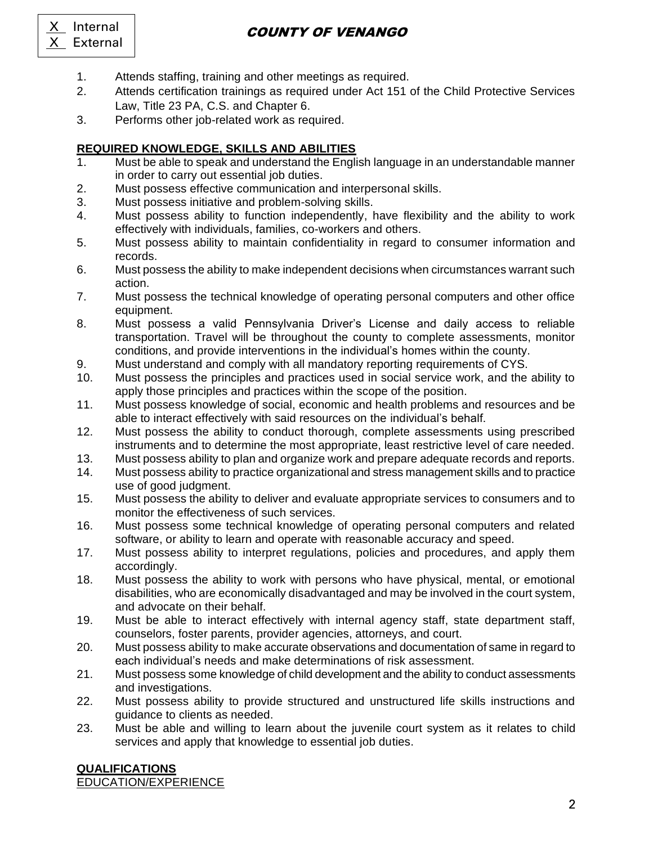# COUNTY OF VENANGO

- X Internal X External
	- 1. Attends staffing, training and other meetings as required.
	- 2. Attends certification trainings as required under Act 151 of the Child Protective Services Law, Title 23 PA, C.S. and Chapter 6.
	- 3. Performs other job-related work as required.

# **REQUIRED KNOWLEDGE, SKILLS AND ABILITIES**

- 1. Must be able to speak and understand the English language in an understandable manner in order to carry out essential job duties.
- 2. Must possess effective communication and interpersonal skills.
- 3. Must possess initiative and problem-solving skills.
- 4. Must possess ability to function independently, have flexibility and the ability to work effectively with individuals, families, co-workers and others.
- 5. Must possess ability to maintain confidentiality in regard to consumer information and records.
- 6. Must possess the ability to make independent decisions when circumstances warrant such action.
- 7. Must possess the technical knowledge of operating personal computers and other office equipment.
- 8. Must possess a valid Pennsylvania Driver's License and daily access to reliable transportation. Travel will be throughout the county to complete assessments, monitor conditions, and provide interventions in the individual's homes within the county.
- 9. Must understand and comply with all mandatory reporting requirements of CYS.
- 10. Must possess the principles and practices used in social service work, and the ability to apply those principles and practices within the scope of the position.
- 11. Must possess knowledge of social, economic and health problems and resources and be able to interact effectively with said resources on the individual's behalf.
- 12. Must possess the ability to conduct thorough, complete assessments using prescribed instruments and to determine the most appropriate, least restrictive level of care needed.
- 13. Must possess ability to plan and organize work and prepare adequate records and reports.
- 14. Must possess ability to practice organizational and stress management skills and to practice use of good judgment.
- 15. Must possess the ability to deliver and evaluate appropriate services to consumers and to monitor the effectiveness of such services.
- 16. Must possess some technical knowledge of operating personal computers and related software, or ability to learn and operate with reasonable accuracy and speed.
- 17. Must possess ability to interpret regulations, policies and procedures, and apply them accordingly.
- 18. Must possess the ability to work with persons who have physical, mental, or emotional disabilities, who are economically disadvantaged and may be involved in the court system, and advocate on their behalf.
- 19. Must be able to interact effectively with internal agency staff, state department staff, counselors, foster parents, provider agencies, attorneys, and court.
- 20. Must possess ability to make accurate observations and documentation of same in regard to each individual's needs and make determinations of risk assessment.
- 21. Must possess some knowledge of child development and the ability to conduct assessments and investigations.
- 22. Must possess ability to provide structured and unstructured life skills instructions and guidance to clients as needed.
- 23. Must be able and willing to learn about the juvenile court system as it relates to child services and apply that knowledge to essential job duties.

## **QUALIFICATIONS**

EDUCATION/EXPERIENCE